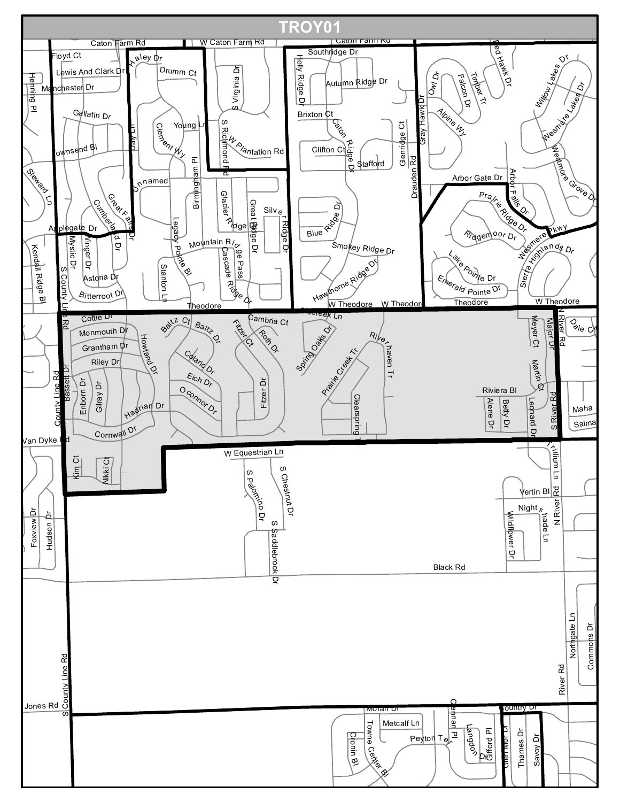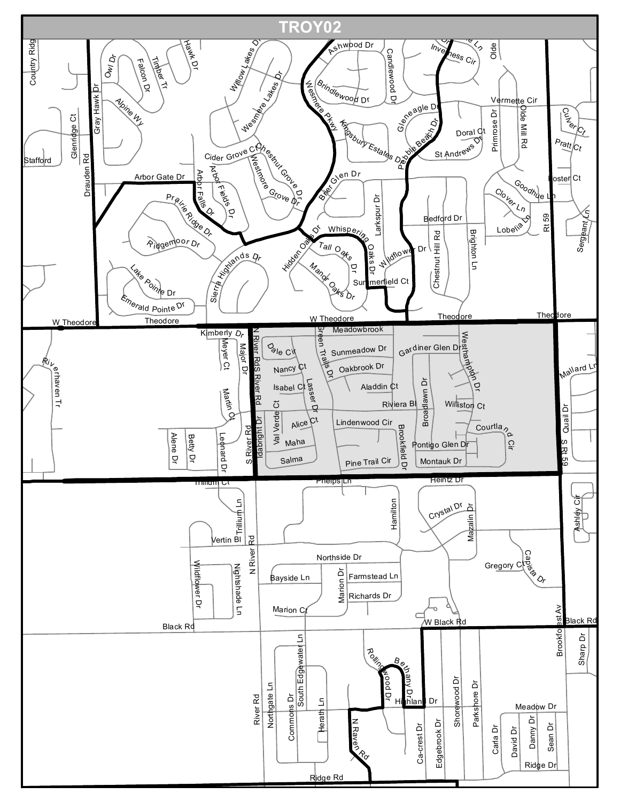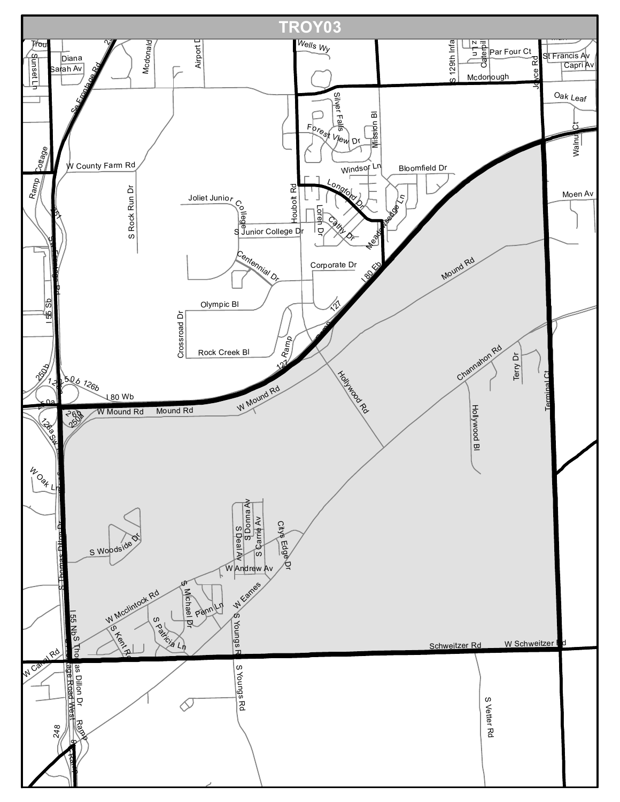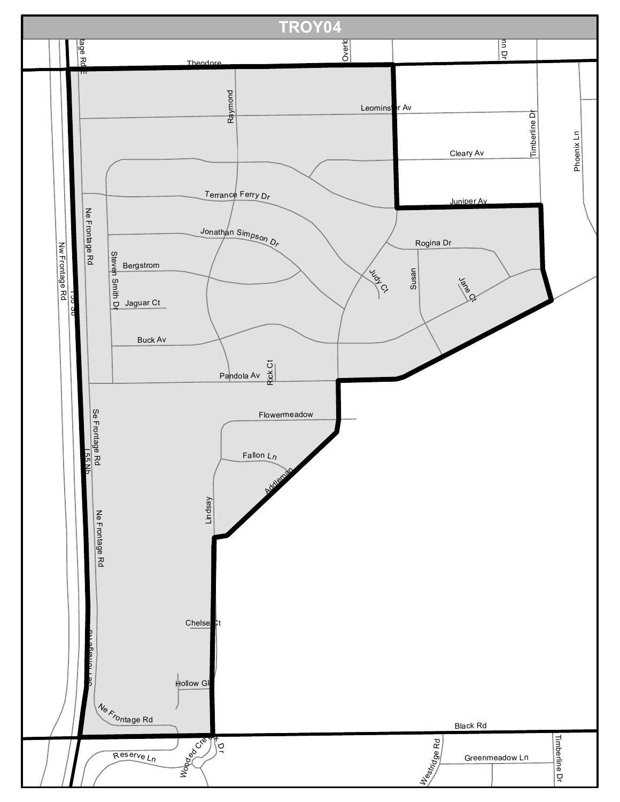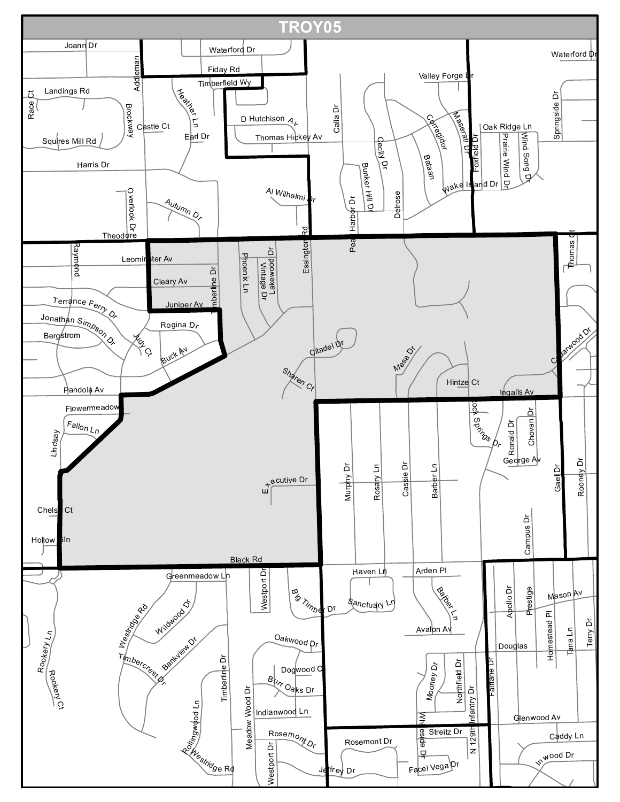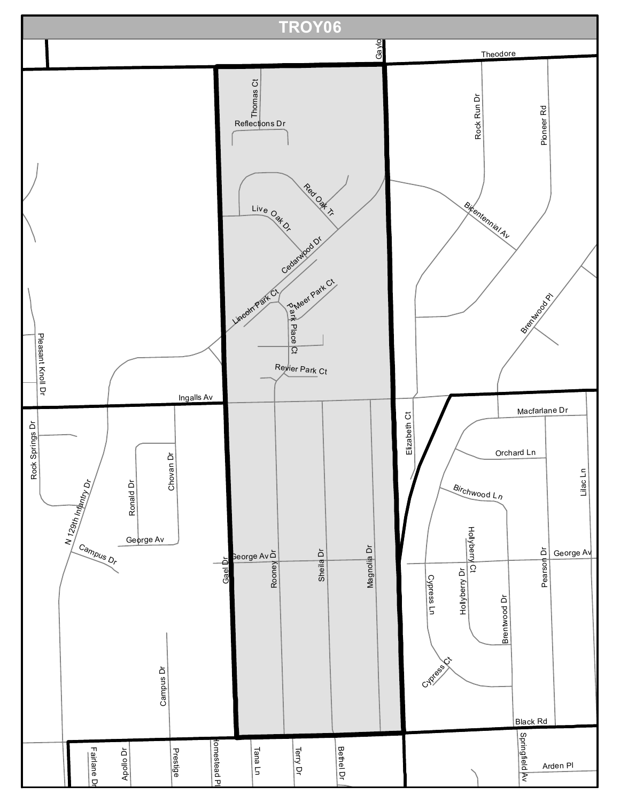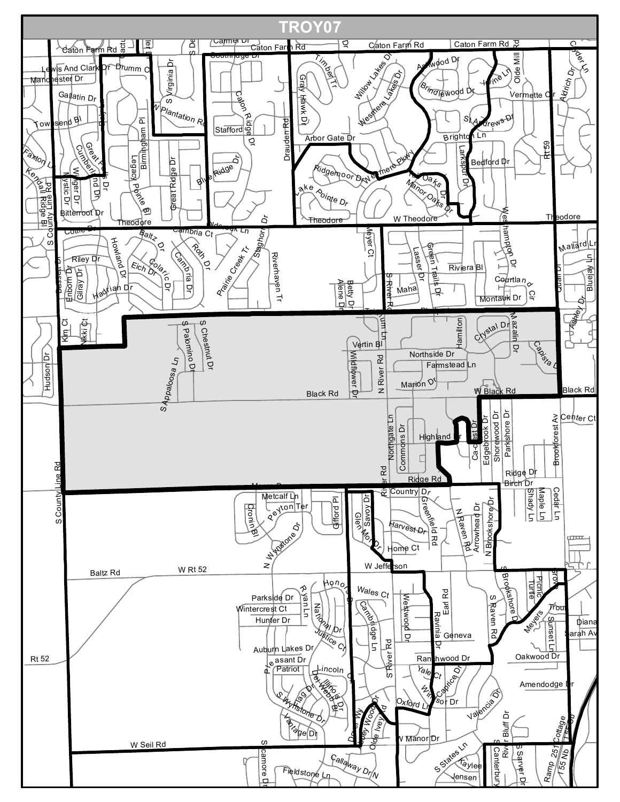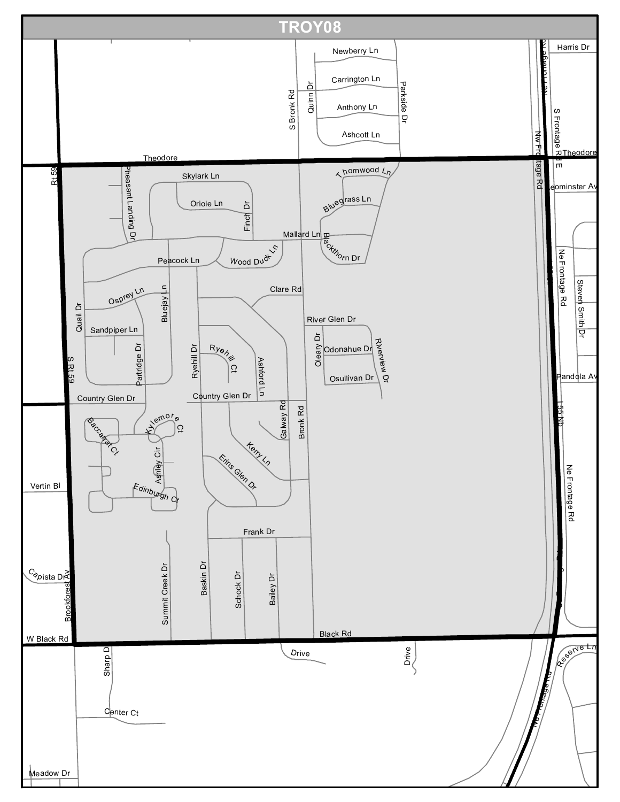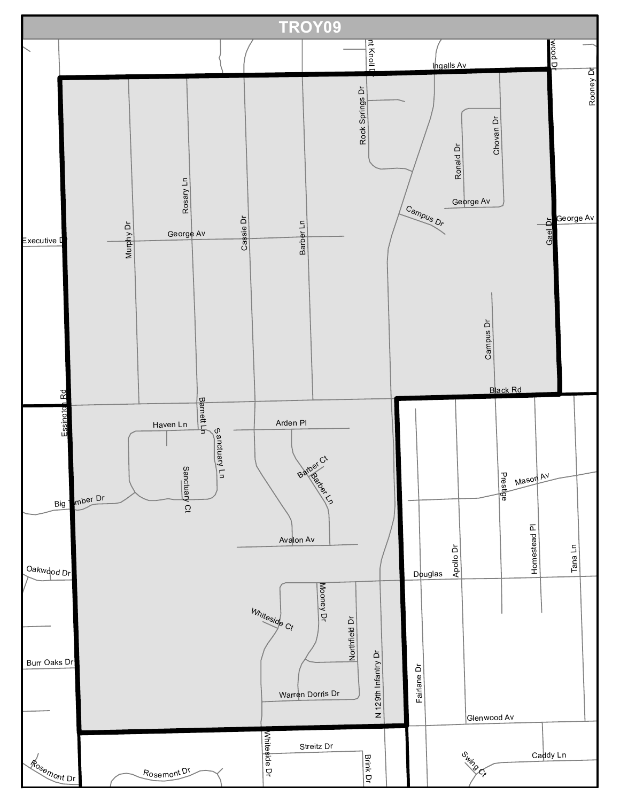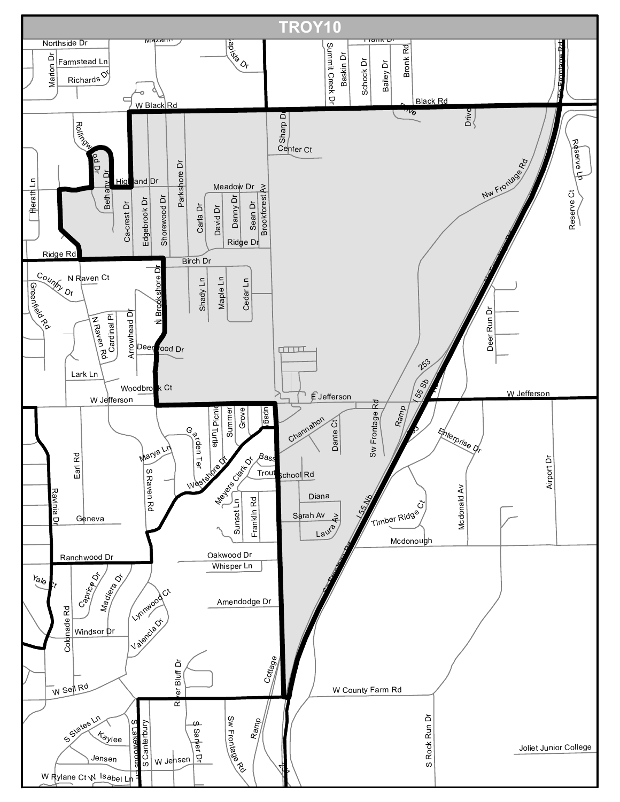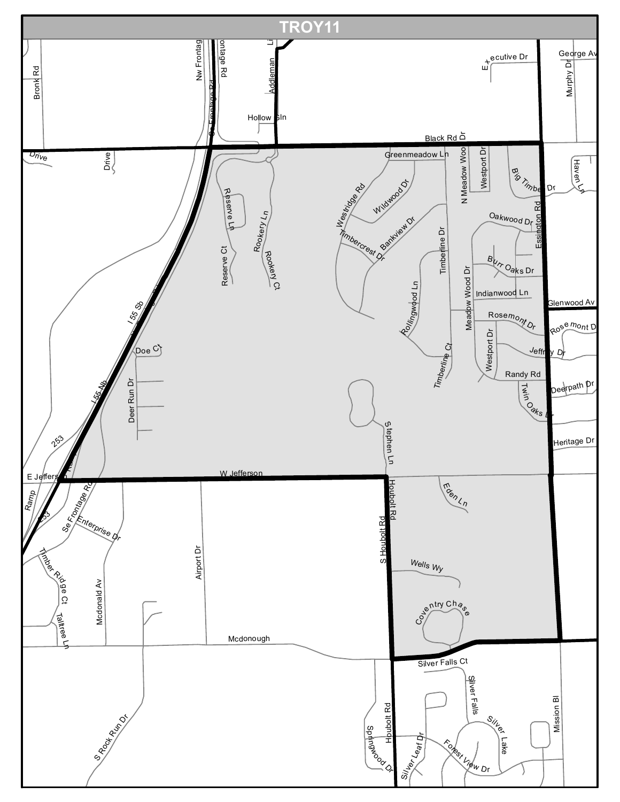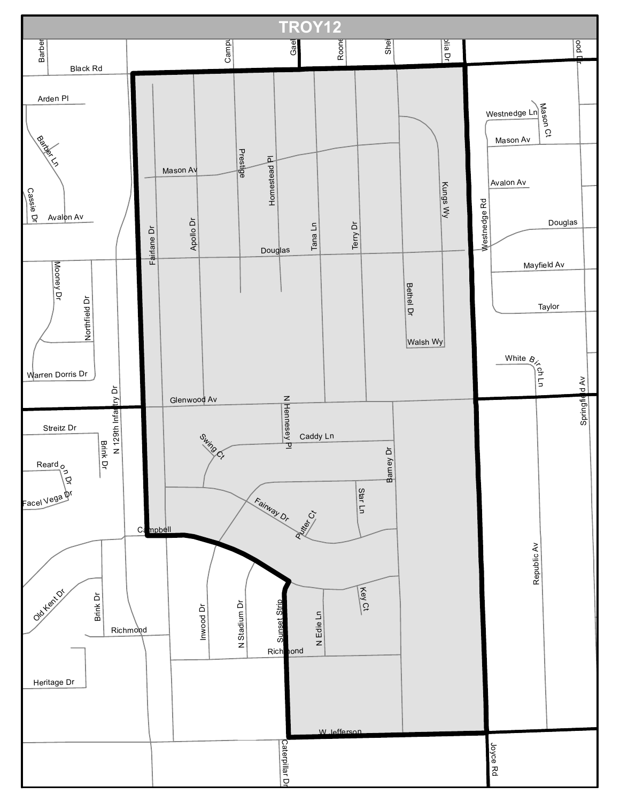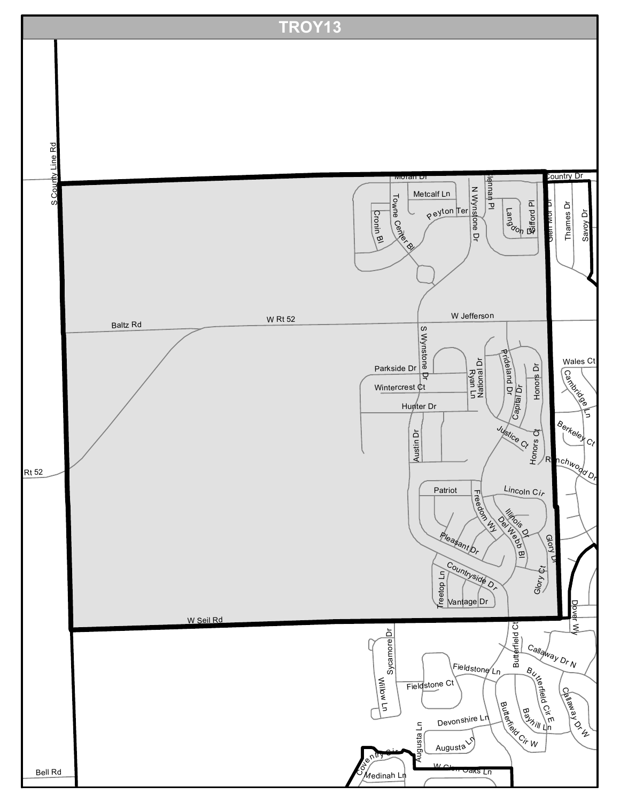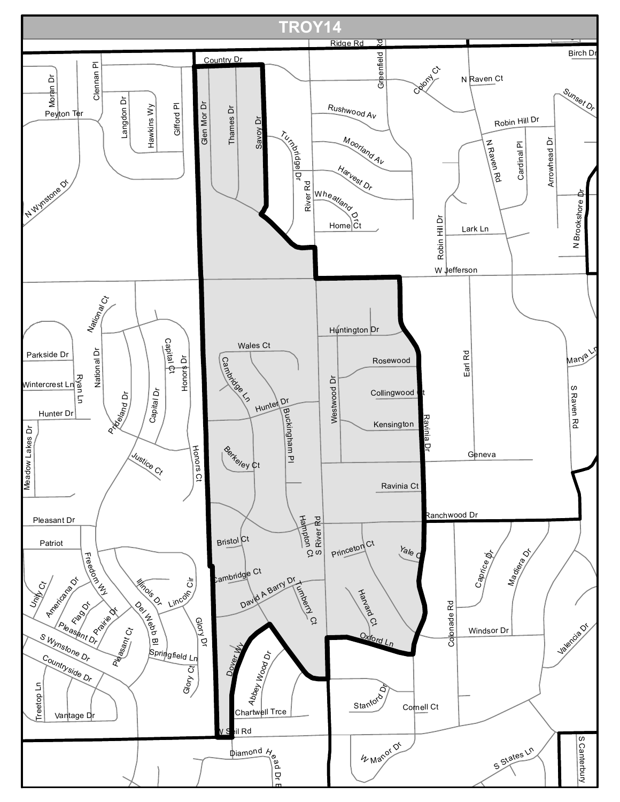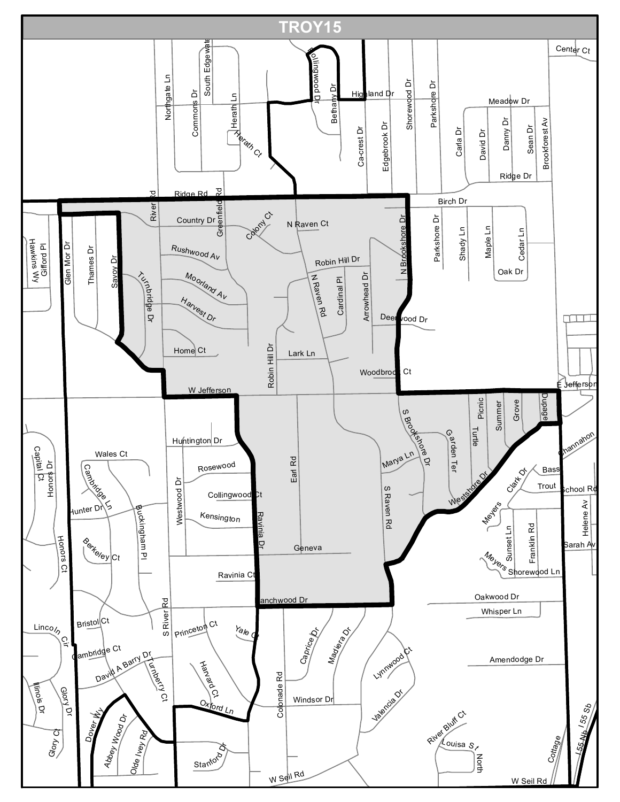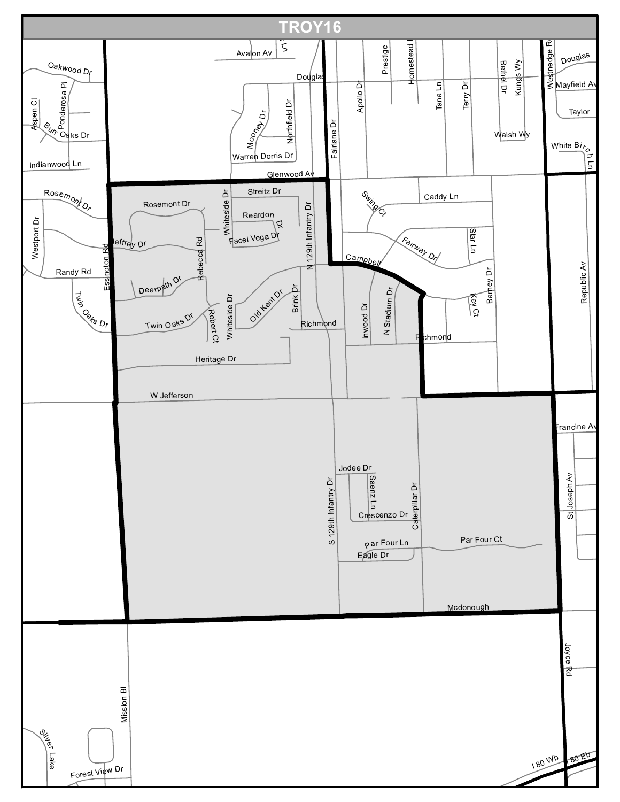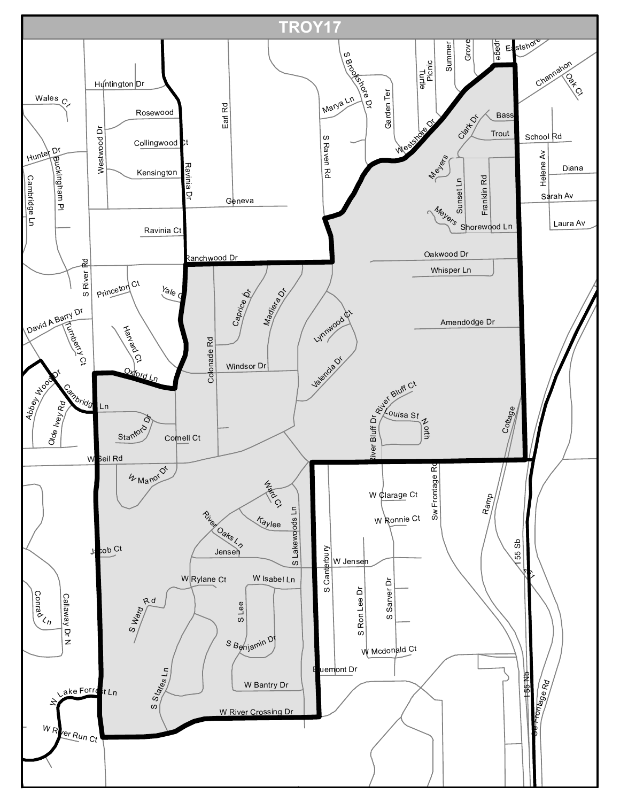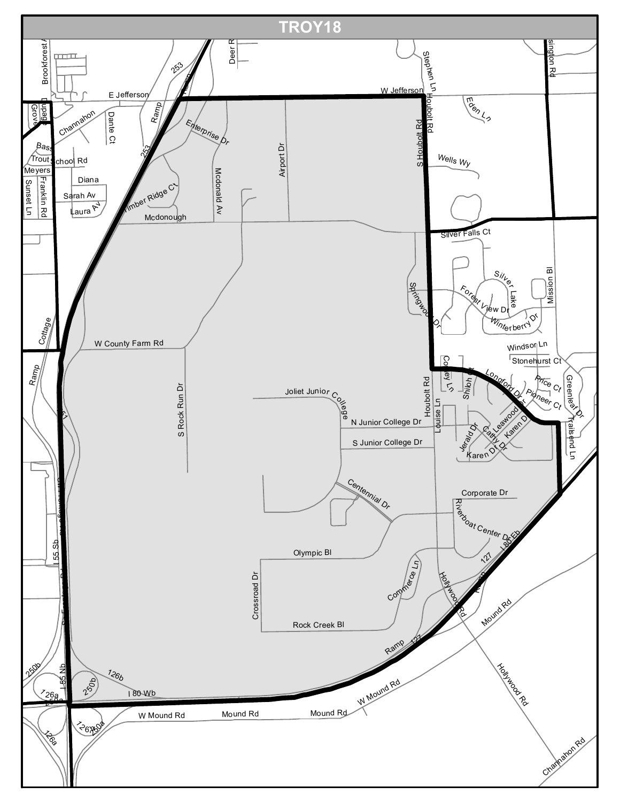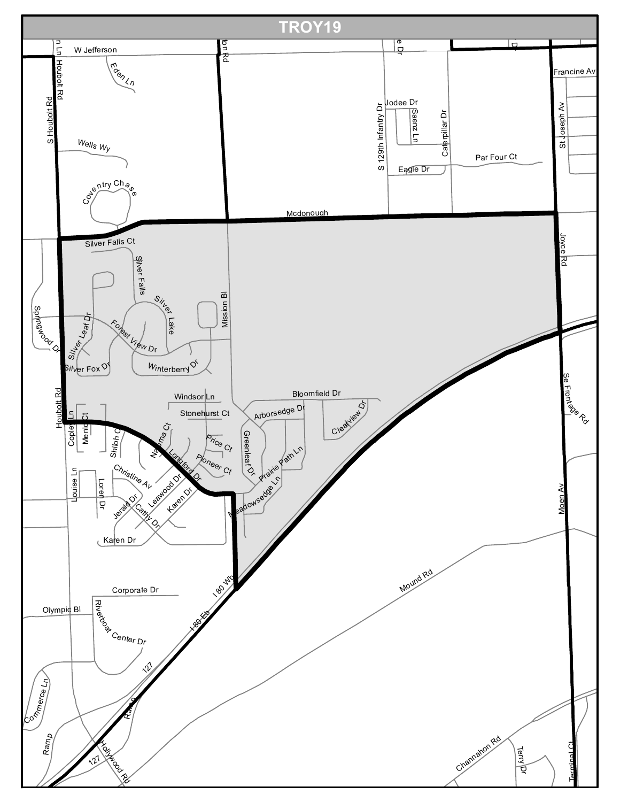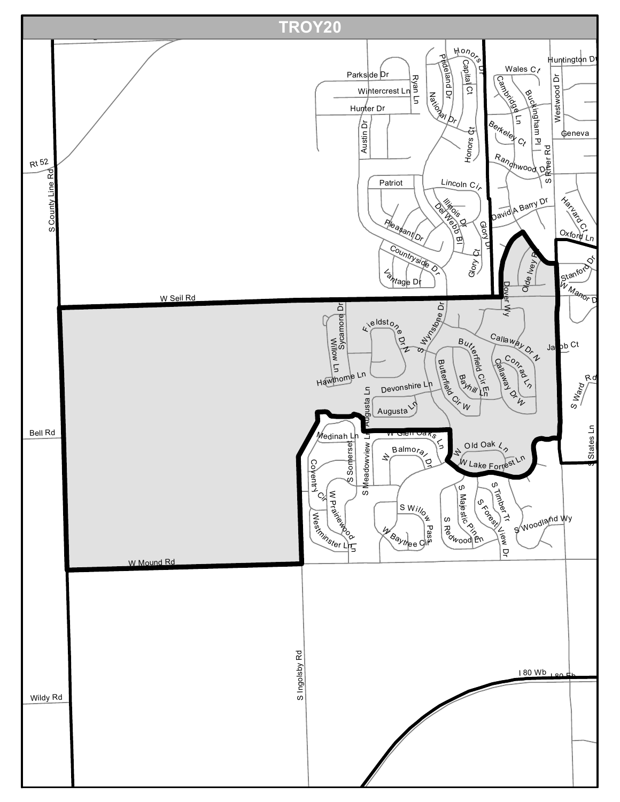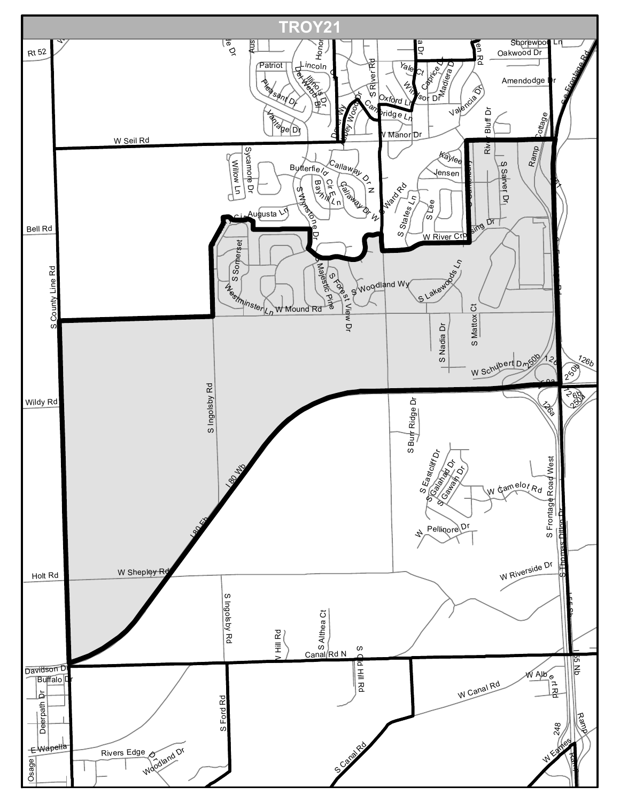![](_page_20_Figure_0.jpeg)